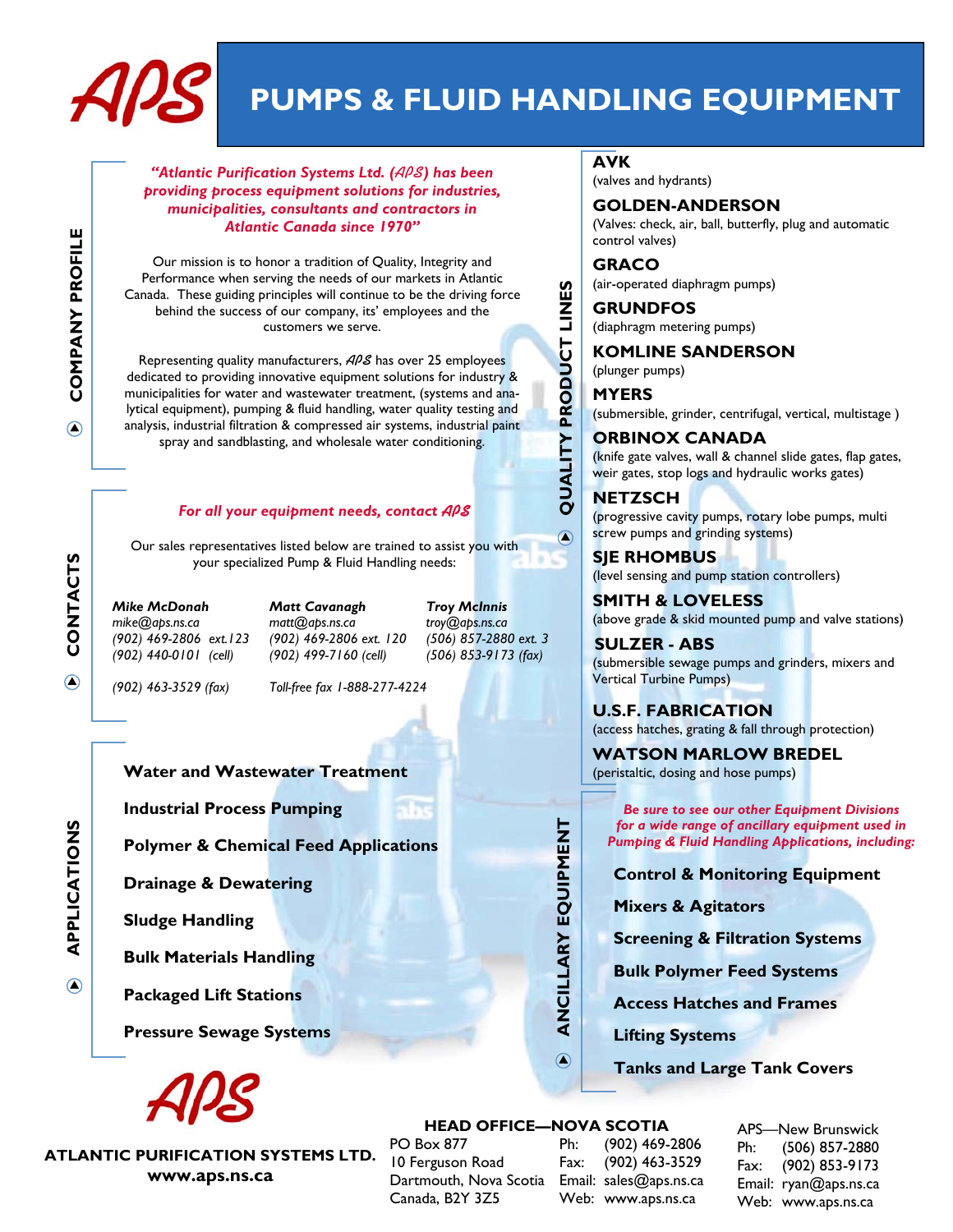

# **PUMPS & FLUID HANDLING EQUIPMENT**

**QUALITY PRODUCT LINES** 

 $\bigcirc$ 

QUALITY PRODUCT LINES

*"Atlantic Purification Systems Ltd. (***APS***) has been providing process equipment solutions for industries, municipalities, consultants and contractors in Atlantic Canada since 1970"* 

Our mission is to honor a tradition of Quality, Integrity and Performance when serving the needs of our markets in Atlantic Canada. These guiding principles will continue to be the driving force behind the success of our company, its' employees and the customers we serve.

Representing quality manufacturers, **APS** has over 25 employees dedicated to providing innovative equipment solutions for industry & municipalities for water and wastewater treatment, (systems and analytical equipment), pumping & fluid handling, water quality testing and analysis, industrial filtration & compressed air systems, industrial paint spray and sandblasting, and wholesale water conditioning.

#### *For all your equipment needs, contact* **APS**

Our sales representatives listed below are trained to assist you with your specialized Pump & Fluid Handling needs:

*Mike McDonah Matt Cavanagh Troy McInnis mike@aps.ns.ca matt@aps.ns.ca troy@aps.ns.ca (902) 469-2806 ext.123 (902) 469-2806 ext. 120 (506) 857-2880 ext. 3 (902) 440-0101 (cell) (902) 499-7160 (cell) (506) 853-9173 (fax)* 

*(902) 463-3529 (fax) Toll-free fax 1-888-277-4224*

**Water and Wastewater Treatment** 

**Industrial Process Pumping** 

**Polymer & Chemical Feed Applications** 

**Drainage & Dewatering** 

**Sludge Handling** 

**Bulk Materials Handling** 

**Packaged Lift Stations** 

**Pressure Sewage Systems** 

**ATLANTIC PURIFICATION SYSTEMS LTD. www.aps.ns.ca** 

#### **AVK**

(valves and hydrants)

**GOLDEN-ANDERSON**  (Valves: check, air, ball, butterfly, plug and automatic control valves)

**GRACO**  (air-operated diaphragm pumps)

**GRUNDFOS**  (diaphragm metering pumps)

#### **KOMLINE SANDERSON**

(plunger pumps)

**MYERS** (submersible, grinder, centrifugal, vertical, multistage )

**ORBINOX CANADA**  (knife gate valves, wall & channel slide gates, flap gates, weir gates, stop logs and hydraulic works gates)

**NETZSCH**  (progressive cavity pumps, rotary lobe pumps, multi screw pumps and grinding systems)

**SJE RHOMBUS**  (level sensing and pump station controllers)

**SMITH & LOVELESS**  (above grade & skid mounted pump and valve stations)

**SULZER - ABS** (submersible sewage pumps and grinders, mixers and Vertical Turbine Pumps)

**U.S.F. FABRICATION** (access hatches, grating & fall through protection)

**WATSON MARLOW BREDEL**  (peristaltic, dosing and hose pumps)

*Be sure to see our other Equipment Divisions for a wide range of ancillary equipment used in Pumping & Fluid Handling Applications, including:* 

**Control & Monitoring Equipment** 

**Mixers & Agitators** 

**Screening & Filtration Systems** 

**Bulk Polymer Feed Systems** 

**Access Hatches and Frames** 

**Lifting Systems** 

**Tanks and Large Tank Covers** 

#### **HEAD OFFICE—NOVA SCOTIA**

**ANCILLARY EQUIPMENT** 

ANCILLARY EQUIPMENT

 $\bigcirc$ 

PO Box 877 10 Ferguson Road Dartmouth, Nova Scotia Email: sales@aps.ns.ca Canada, B2Y 3Z5

Ph: (902) 469-2806 Fax: (902) 463-3529 Web: www.aps.ns.ca

APS—New Brunswick Ph: (506) 857-2880 Fax: (902) 853-9173 Email: ryan@aps.ns.ca Web: www.aps.ns.ca

**APPLICATIONS CONTACTS COMPANY PROFILE COMPANY PROFILE**  $\odot$ CONTACTS

 $\bigcirc$ 

APPLICATIONS

 $\bigcirc$